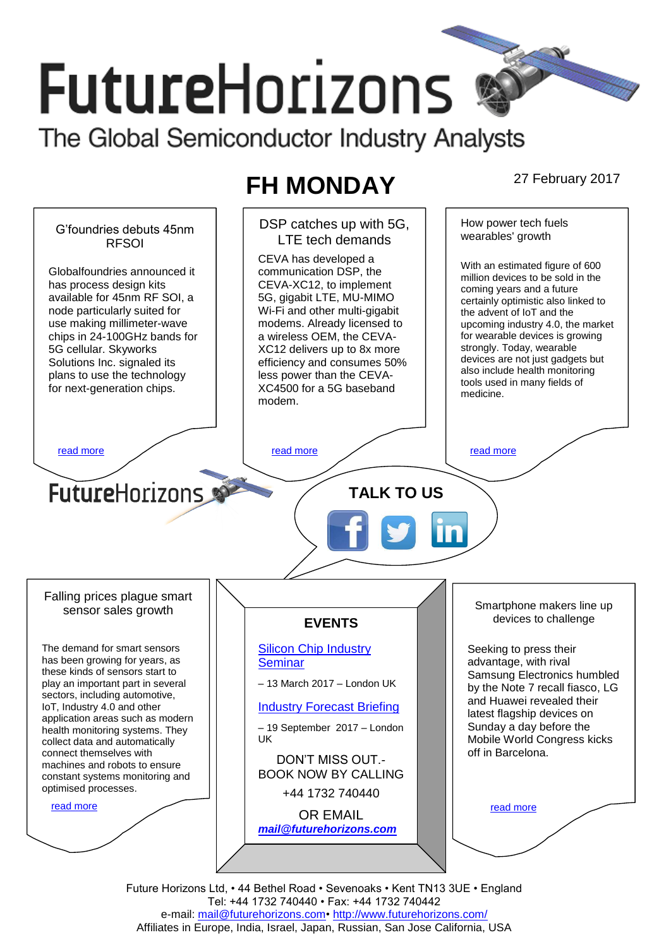# **FutureHorizons** The Global Semiconductor Industry Analysts

## **FH MONDAY** 27 February 2017

How power tech fuels DSP catches up with 5G, G'foundries debuts 45nm wearables' growth LTE tech demands RFSOI CEVA has developed a With an estimated figure of 600 Globalfoundries announced it communication DSP, the million devices to be sold in the has process design kits CEVA-XC12, to implement coming years and a future 5G, gigabit LTE, MU-MIMO available for 45nm RF SOI, a certainly optimistic also linked to Wi-Fi and other multi-gigabit node particularly suited for the advent of IoT and the use making millimeter-wave modems. Already licensed to upcoming industry 4.0, the market chips in 24-100GHz bands for a wireless OEM, the CEVAfor wearable devices is growing strongly. Today, wearable 5G cellular. Skyworks XC12 delivers up to 8x more devices are not just gadgets but Solutions Inc. signaled its efficiency and consumes 50% also include health monitoring plans to use the technology less power than the CEVAtools used in many fields of XC4500 for a 5G baseband for next-generation chips. medicine. modem. [read more](#page-1-1) that the second contract the second contract of the read more that the read more that the read more **Future**Horizons **TALK TO US** Falling prices plague smart Smartphone makers line up sensor sales growth devices to challenge **EVENTS** The demand for smart sensors [Silicon Chip Industry](http://www.futurehorizons.com/page/12/silicon-chip-training)  Seeking to press their has been growing for years, as **[Seminar](http://www.futurehorizons.com/page/12/silicon-chip-training)** advantage, with rival these kinds of sensors start to Samsung Electronics humbled – 13 March 2017 – London UK play an important part in several by the Note 7 recall fiasco, LG sectors, including automotive, and Huawei revealed their IoT, Industry 4.0 and other [Industry Forecast Briefing](http://www.futurehorizons.com/page/13/Semiconductor-Market-Forecast-Seminar) latest flagship devices on application areas such as modern Sunday a day before the – 19 September 2017 – London health monitoring systems. They UK Mobile World Congress kicks collect data and automatically off in Barcelona. connect themselves with DON'T MISS OUT. machines and robots to ensure BOOK NOW BY CALLING constant systems monitoring and optimised processes.+44 1732 740440 [read more](#page-1-3) [read more](#page-1-4) OR EMAIL *[mail@futurehorizons.com](mailto:mail@futurehorizons.com)*

> Future Horizons Ltd, • 44 Bethel Road • Sevenoaks • Kent TN13 3UE • England Tel: +44 1732 740440 • Fax: +44 1732 740442 e-mail: mail@futurehorizons.com• http://www.futurehorizons.com/ Affiliates in Europe, India, Israel, Japan, Russian, San Jose California, USA